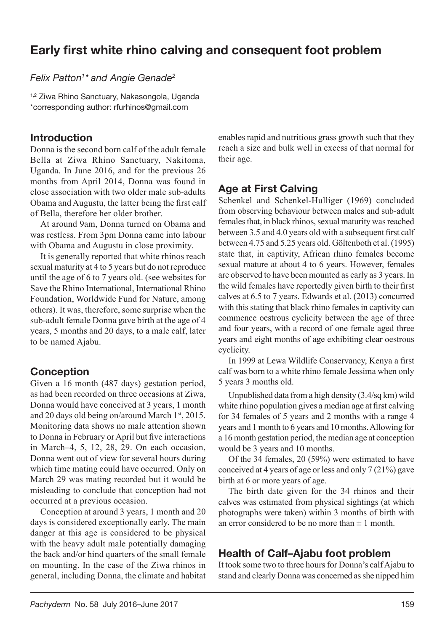# Early first white rhino calving and consequent foot problem

*Felix Patton1 \* and Angie Genade2*

<sup>1,2</sup> Ziwa Rhino Sanctuary, Nakasongola, Uganda \*corresponding author: rfurhinos@gmail.com

#### Introduction

Donna is the second born calf of the adult female Bella at Ziwa Rhino Sanctuary, Nakitoma, Uganda. In June 2016, and for the previous 26 months from April 2014, Donna was found in close association with two older male sub-adults Obama and Augustu, the latter being the first calf of Bella, therefore her older brother.

At around 9am, Donna turned on Obama and was restless. From 3pm Donna came into labour with Obama and Augustu in close proximity.

It is generally reported that white rhinos reach sexual maturity at 4 to 5 years but do not reproduce until the age of 6 to 7 years old. (see websites for Save the Rhino International, International Rhino Foundation, Worldwide Fund for Nature, among others). It was, therefore, some surprise when the sub-adult female Donna gave birth at the age of 4 years, 5 months and 20 days, to a male calf, later to be named Ajabu.

## Conception

Given a 16 month (487 days) gestation period, as had been recorded on three occasions at Ziwa, Donna would have conceived at 3 years, 1 month and 20 days old being on/around March 1st, 2015. Monitoring data shows no male attention shown to Donna in February or April but five interactions in March–4, 5, 12, 28, 29. On each occasion, Donna went out of view for several hours during which time mating could have occurred. Only on March 29 was mating recorded but it would be misleading to conclude that conception had not occurred at a previous occasion.

Conception at around 3 years, 1 month and 20 days is considered exceptionally early. The main danger at this age is considered to be physical with the heavy adult male potentially damaging the back and/or hind quarters of the small female on mounting. In the case of the Ziwa rhinos in general, including Donna, the climate and habitat

enables rapid and nutritious grass growth such that they reach a size and bulk well in excess of that normal for their age.

## Age at First Calving

Schenkel and Schenkel-Hulliger (1969) concluded from observing behaviour between males and sub-adult females that, in black rhinos, sexual maturity was reached between 3.5 and 4.0 years old with a subsequent first calf between 4.75 and 5.25 years old. Göltenboth et al. (1995) state that, in captivity, African rhino females become sexual mature at about 4 to 6 years. However, females are observed to have been mounted as early as 3 years. In the wild females have reportedly given birth to their first calves at 6.5 to 7 years. Edwards et al. (2013) concurred with this stating that black rhino females in captivity can commence oestrous cyclicity between the age of three and four years, with a record of one female aged three years and eight months of age exhibiting clear oestrous cyclicity.

In 1999 at Lewa Wildlife Conservancy, Kenya a first calf was born to a white rhino female Jessima when only 5 years 3 months old.

Unpublished data from a high density (3.4/sq km) wild white rhino population gives a median age at first calving for 34 females of 5 years and 2 months with a range 4 years and 1 month to 6 years and 10 months. Allowing for a 16 month gestation period, the median age at conception would be 3 years and 10 months.

Of the 34 females, 20 (59%) were estimated to have conceived at 4 years of age or less and only 7 (21%) gave birth at 6 or more years of age.

The birth date given for the 34 rhinos and their calves was estimated from physical sightings (at which photographs were taken) within 3 months of birth with an error considered to be no more than  $\pm 1$  month.

## Health of Calf–Ajabu foot problem

It took some two to three hours for Donna's calf Ajabu to stand and clearly Donna was concerned as she nipped him